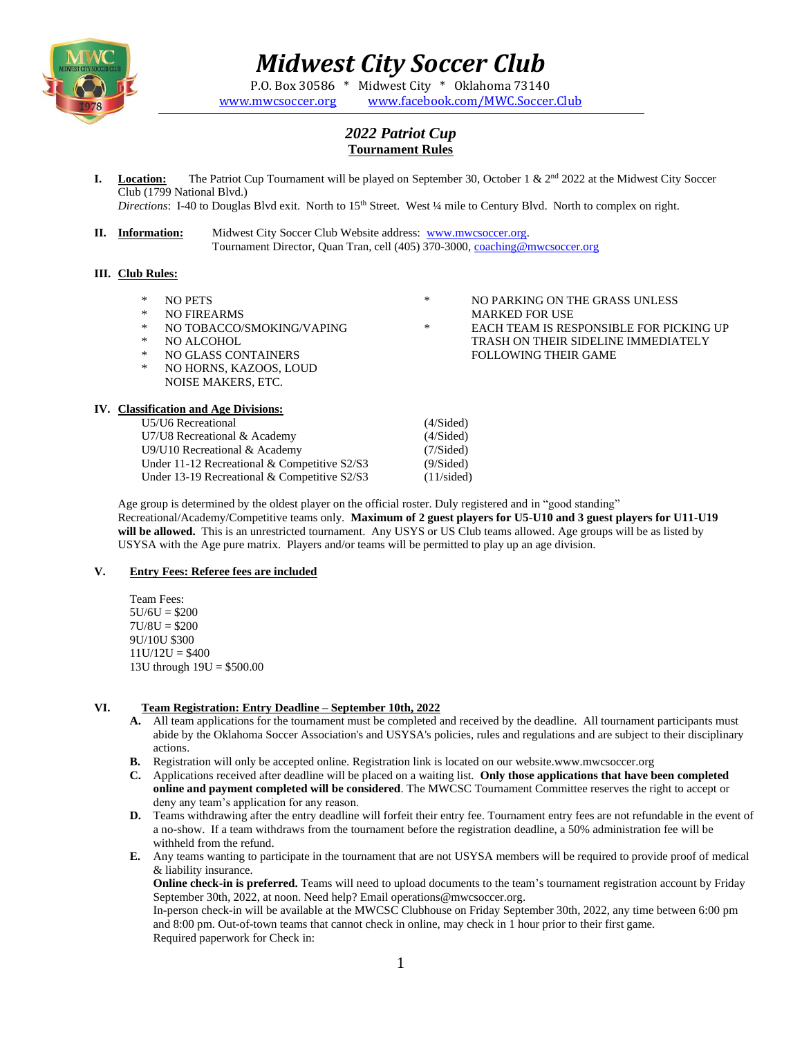

# *Midwest City Soccer Club*

P.O. Box 30586 \* Midwest City \* Oklahoma 73140 [www.mwcsoccer.org](http://www.mwcsoccer.org/) [www.facebook.com/MWC.Soccer.Club](http://www.facebook.com/MWC.Soccer.Club)

## *2022 Patriot Cup* **Tournament Rules**

**I. Location:** The Patriot Cup Tournament will be played on September 30, October 1 &  $2<sup>nd</sup>$  2022 at the Midwest City Soccer Club (1799 National Blvd.)

*Directions*: I-40 to Douglas Blvd exit. North to 15<sup>th</sup> Street. West ¼ mile to Century Blvd. North to complex on right.

**II. Information:** Midwest City Soccer Club Website address: [www.mwcsoccer.org.](http://www.mwcsoccer.org/) Tournament Director, Quan Tran, cell (405) 370-3000, [coaching@mwcsoccer.org](mailto:coaching@mwcsoccer.org)

## **III. Club Rules:**

- \* NO PETS
- \* NO FIREARMS
- \* NO TOBACCO/SMOKING/VAPING
- \* NO ALCOHOL<br>\* NO GLASS COL
- NO GLASS CONTAINERS
- NO HORNS, KAZOOS, LOUD NOISE MAKERS, ETC.

## **IV. Classification and Age Divisions:**

U5/U6 Recreational (4/Sided) U7/U8 Recreational & Academy (4/Sided) U9/U10 Recreational & Academy (7/Sided) Under 11-12 Recreational & Competitive S2/S3 (9/Sided) Under 13-19 Recreational & Competitive S2/S3 (11/sided)

- \* NO PARKING ON THE GRASS UNLESS MARKED FOR USE \* EACH TEAM IS RESPONSIBLE FOR PICKING UP
	- TRASH ON THEIR SIDELINE IMMEDIATELY FOLLOWING THEIR GAME

Age group is determined by the oldest player on the official roster. Duly registered and in "good standing" Recreational/Academy/Competitive teams only. **Maximum of 2 guest players for U5-U10 and 3 guest players for U11-U19 will be allowed.** This is an unrestricted tournament. Any USYS or US Club teams allowed. Age groups will be as listed by USYSA with the Age pure matrix. Players and/or teams will be permitted to play up an age division.

#### **V. Entry Fees: Referee fees are included**

Team Fees:  $5U/6U = $200$  $7U/8U = $200$ 9U/10U \$300  $11U/12U = $400$ 13U through 19U = \$500.00

#### **VI. Team Registration: Entry Deadline – September 10th, 2022**

- **A.** All team applications for the tournament must be completed and received by the deadline. All tournament participants must abide by the Oklahoma Soccer Association's and USYSA's policies, rules and regulations and are subject to their disciplinary actions.
- **B.** Registration will only be accepted online. Registration link is located on our website.www.mwcsoccer.org
- **C.** Applications received after deadline will be placed on a waiting list. **Only those applications that have been completed online and payment completed will be considered**. The MWCSC Tournament Committee reserves the right to accept or deny any team's application for any reason.
- **D.** Teams withdrawing after the entry deadline will forfeit their entry fee. Tournament entry fees are not refundable in the event of a no-show. If a team withdraws from the tournament before the registration deadline, a 50% administration fee will be withheld from the refund.
- **E.** Any teams wanting to participate in the tournament that are not USYSA members will be required to provide proof of medical & liability insurance.

**Online check-in is preferred.** Teams will need to upload documents to the team's tournament registration account by Friday September 30th, 2022, at noon. Need help? Email operations@mwcsoccer.org.

In-person check-in will be available at the MWCSC Clubhouse on Friday September 30th, 2022, any time between 6:00 pm and 8:00 pm. Out-of-town teams that cannot check in online, may check in 1 hour prior to their first game. Required paperwork for Check in: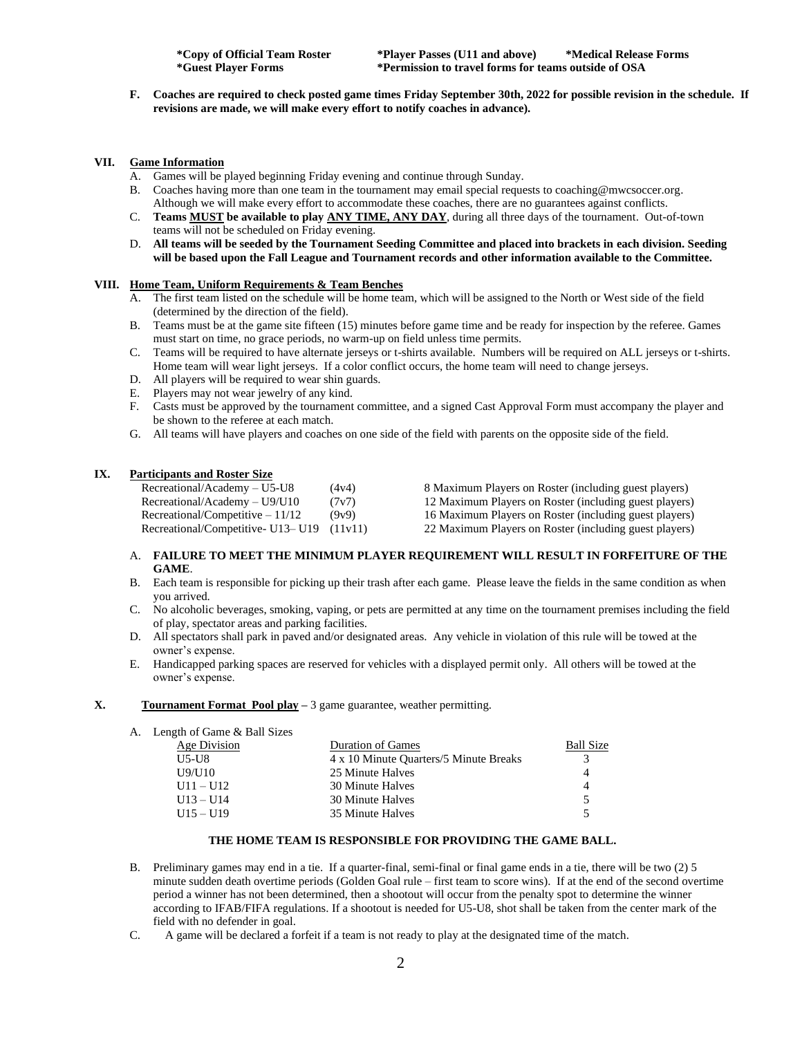**F. Coaches are required to check posted game times Friday September 30th, 2022 for possible revision in the schedule. If revisions are made, we will make every effort to notify coaches in advance).**

#### **VII. Game Information**

- A. Games will be played beginning Friday evening and continue through Sunday.
- B. Coaches having more than one team in the tournament may email special requests to coaching@mwcsoccer.org. Although we will make every effort to accommodate these coaches, there are no guarantees against conflicts.
- C. **Teams MUST be available to play ANY TIME, ANY DAY**, during all three days of the tournament. Out-of-town teams will not be scheduled on Friday evening.
- D. **All teams will be seeded by the Tournament Seeding Committee and placed into brackets in each division. Seeding will be based upon the Fall League and Tournament records and other information available to the Committee.**

## **VIII. Home Team, Uniform Requirements & Team Benches**

- A. The first team listed on the schedule will be home team, which will be assigned to the North or West side of the field (determined by the direction of the field).
- B. Teams must be at the game site fifteen (15) minutes before game time and be ready for inspection by the referee. Games must start on time, no grace periods, no warm-up on field unless time permits.
- C. Teams will be required to have alternate jerseys or t-shirts available. Numbers will be required on ALL jerseys or t-shirts. Home team will wear light jerseys. If a color conflict occurs, the home team will need to change jerseys.
- D. All players will be required to wear shin guards.
- E. Players may not wear jewelry of any kind.
- F. Casts must be approved by the tournament committee, and a signed Cast Approval Form must accompany the player and be shown to the referee at each match.
- G. All teams will have players and coaches on one side of the field with parents on the opposite side of the field.

#### **IX. Participants and Roster Size**

| $Recretional/Academy – U5-U8$                 | (4v4) | 8 Maximum Players on Roster (including guest players)  |
|-----------------------------------------------|-------|--------------------------------------------------------|
| Recretional/Academy – U9/U10                  | (7v7) | 12 Maximum Players on Roster (including guest players) |
| $Recretional/Competitive - 11/12$             | (9v9) | 16 Maximum Players on Roster (including guest players) |
| Recreational/Competitive- $U13 - U19$ (11v11) |       | 22 Maximum Players on Roster (including guest players) |

#### A. **FAILURE TO MEET THE MINIMUM PLAYER REQUIREMENT WILL RESULT IN FORFEITURE OF THE GAME**.

- B. Each team is responsible for picking up their trash after each game. Please leave the fields in the same condition as when you arrived.
- C. No alcoholic beverages, smoking, vaping, or pets are permitted at any time on the tournament premises including the field of play, spectator areas and parking facilities.
- D. All spectators shall park in paved and/or designated areas. Any vehicle in violation of this rule will be towed at the owner's expense.
- E. Handicapped parking spaces are reserved for vehicles with a displayed permit only. All others will be towed at the owner's expense.

#### **X. Tournament Format Pool play –** 3 game guarantee, weather permitting.

A. Length of Game & Ball Sizes

| Age Division | <b>Duration of Games</b>               | <b>Ball Size</b> |
|--------------|----------------------------------------|------------------|
| U5-U8        | 4 x 10 Minute Quarters/5 Minute Breaks |                  |
| U9/U10       | 25 Minute Halves                       |                  |
| $U11 - U12$  | 30 Minute Halves                       |                  |
| $U13 - U14$  | 30 Minute Halves                       |                  |
| $U15 - U19$  | 35 Minute Halves                       |                  |
|              |                                        |                  |

#### **THE HOME TEAM IS RESPONSIBLE FOR PROVIDING THE GAME BALL.**

- B. Preliminary games may end in a tie. If a quarter-final, semi-final or final game ends in a tie, there will be two (2) 5 minute sudden death overtime periods (Golden Goal rule – first team to score wins). If at the end of the second overtime period a winner has not been determined, then a shootout will occur from the penalty spot to determine the winner according to IFAB/FIFA regulations. If a shootout is needed for U5-U8, shot shall be taken from the center mark of the field with no defender in goal.
- C. A game will be declared a forfeit if a team is not ready to play at the designated time of the match.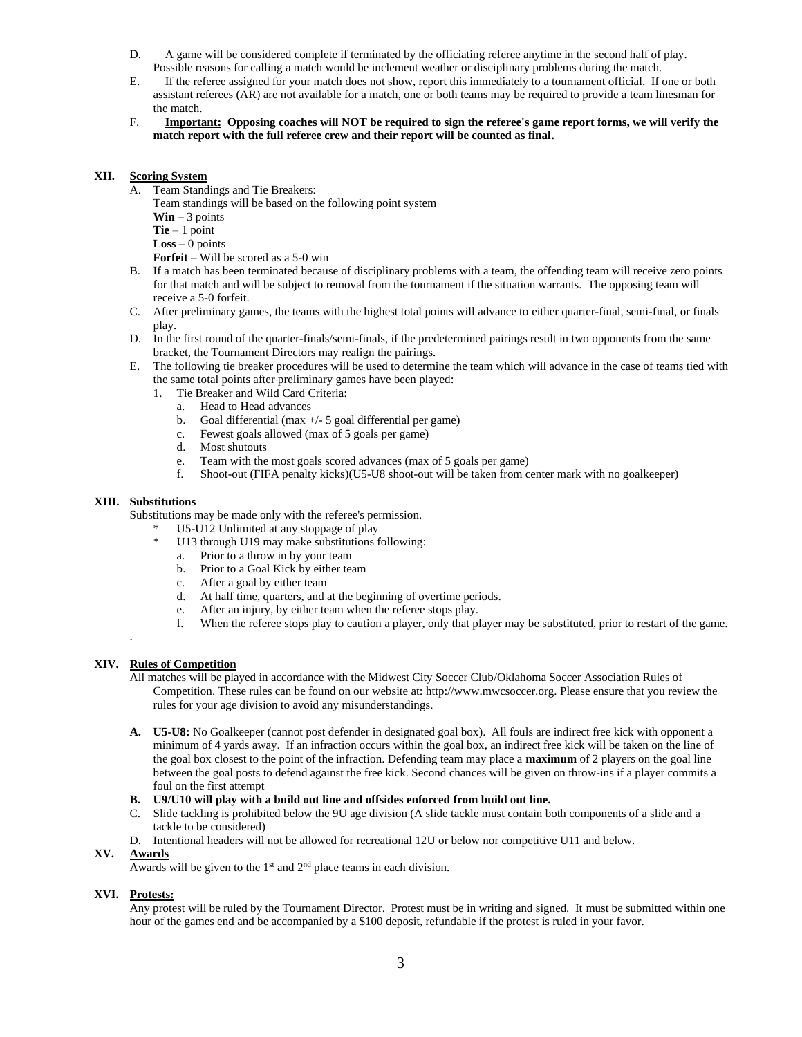- D. A game will be considered complete if terminated by the officiating referee anytime in the second half of play. Possible reasons for calling a match would be inclement weather or disciplinary problems during the match.
- E. If the referee assigned for your match does not show, report this immediately to a tournament official. If one or both assistant referees (AR) are not available for a match, one or both teams may be required to provide a team linesman for the match.
- F. **Important: Opposing coaches will NOT be required to sign the referee's game report forms, we will verify the match report with the full referee crew and their report will be counted as final.**

#### **XII. Scoring System**

- A. Team Standings and Tie Breakers:
	- Team standings will be based on the following point system
	- **Win** 3 points
	- **Tie** 1 point
	- **Loss** 0 points
	- **Forfeit** Will be scored as a 5-0 win
- B. If a match has been terminated because of disciplinary problems with a team, the offending team will receive zero points for that match and will be subject to removal from the tournament if the situation warrants. The opposing team will receive a 5-0 forfeit.
- C. After preliminary games, the teams with the highest total points will advance to either quarter-final, semi-final, or finals play.
- D. In the first round of the quarter-finals/semi-finals, if the predetermined pairings result in two opponents from the same bracket, the Tournament Directors may realign the pairings.
- E. The following tie breaker procedures will be used to determine the team which will advance in the case of teams tied with the same total points after preliminary games have been played:
	- 1. Tie Breaker and Wild Card Criteria:
		- a. Head to Head advances
		- b. Goal differential (max +/- 5 goal differential per game)
		- c. Fewest goals allowed (max of 5 goals per game)
		- d. Most shutouts
		- e. Team with the most goals scored advances (max of 5 goals per game)
		- f. Shoot-out (FIFA penalty kicks)(U5-U8 shoot-out will be taken from center mark with no goalkeeper)

#### **XIII. Substitutions**

Substitutions may be made only with the referee's permission.

- \* U5-U12 Unlimited at any stoppage of play
	- U13 through U19 may make substitutions following:
		- a. Prior to a throw in by your team
		- b. Prior to a Goal Kick by either team
		- c. After a goal by either team
		- d. At half time, quarters, and at the beginning of overtime periods.
		- e. After an injury, by either team when the referee stops play.
		- f. When the referee stops play to caution a player, only that player may be substituted, prior to restart of the game.

## **XIV. Rules of Competition**

.

All matches will be played in accordance with the Midwest City Soccer Club/Oklahoma Soccer Association Rules of Competition. These rules can be found on our website at: http://www.mwcsoccer.org. Please ensure that you review the rules for your age division to avoid any misunderstandings.

- **A. U5-U8:** No Goalkeeper (cannot post defender in designated goal box). All fouls are indirect free kick with opponent a minimum of 4 yards away. If an infraction occurs within the goal box, an indirect free kick will be taken on the line of the goal box closest to the point of the infraction. Defending team may place a **maximum** of 2 players on the goal line between the goal posts to defend against the free kick. Second chances will be given on throw-ins if a player commits a foul on the first attempt
- **B. U9/U10 will play with a build out line and offsides enforced from build out line.**
- C. Slide tackling is prohibited below the 9U age division (A slide tackle must contain both components of a slide and a tackle to be considered)
- D. Intentional headers will not be allowed for recreational 12U or below nor competitive U11 and below.

#### **XV. Awards**

Awards will be given to the  $1<sup>st</sup>$  and  $2<sup>nd</sup>$  place teams in each division.

#### **XVI. Protests:**

Any protest will be ruled by the Tournament Director. Protest must be in writing and signed. It must be submitted within one hour of the games end and be accompanied by a \$100 deposit, refundable if the protest is ruled in your favor.